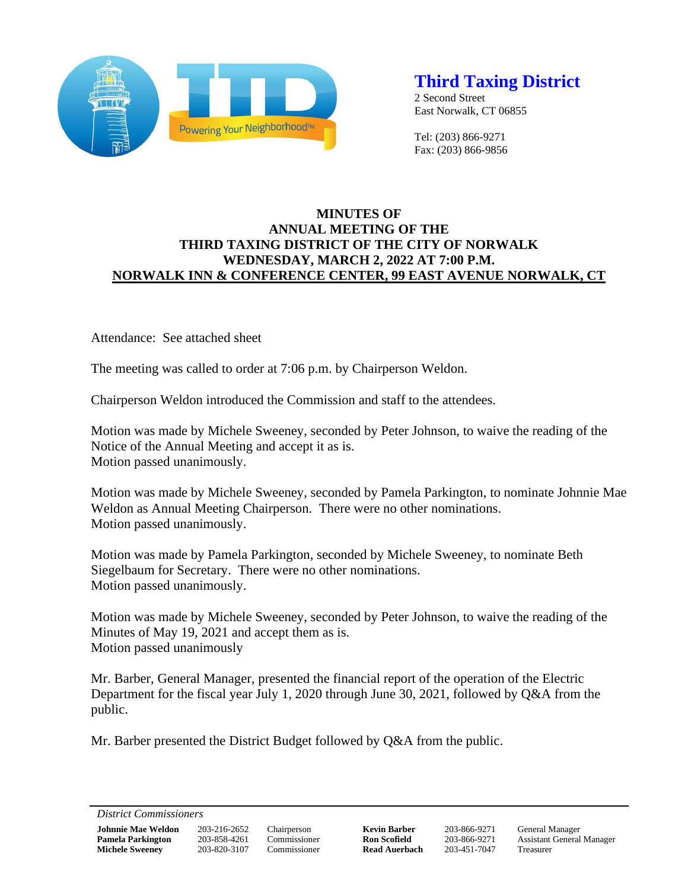

# **Third Taxing District**

2 Second Street East Norwalk, CT 06855

Tel: (203) 866-9271 Fax: (203) 866-9856

## **MINUTES OF ANNUAL MEETING OF THE THIRD TAXING DISTRICT OF THE CITY OF NORWALK WEDNESDAY, MARCH 2, 2022 AT 7:00 P.M. NORWALK INN & CONFERENCE CENTER, 99 EAST AVENUE NORWALK, CT**

Attendance: See attached sheet

The meeting was called to order at 7:06 p.m. by Chairperson Weldon.

Chairperson Weldon introduced the Commission and staff to the attendees.

Motion was made by Michele Sweeney, seconded by Peter Johnson, to waive the reading of the Notice of the Annual Meeting and accept it as is. Motion passed unanimously.

Motion was made by Michele Sweeney, seconded by Pamela Parkington, to nominate Johnnie Mae Weldon as Annual Meeting Chairperson. There were no other nominations. Motion passed unanimously.

Motion was made by Pamela Parkington, seconded by Michele Sweeney, to nominate Beth Siegelbaum for Secretary. There were no other nominations. Motion passed unanimously.

Motion was made by Michele Sweeney, seconded by Peter Johnson, to waive the reading of the Minutes of May 19, 2021 and accept them as is. Motion passed unanimously

Mr. Barber, General Manager, presented the financial report of the operation of the Electric Department for the fiscal year July 1, 2020 through June 30, 2021, followed by Q&A from the public.

Mr. Barber presented the District Budget followed by Q&A from the public.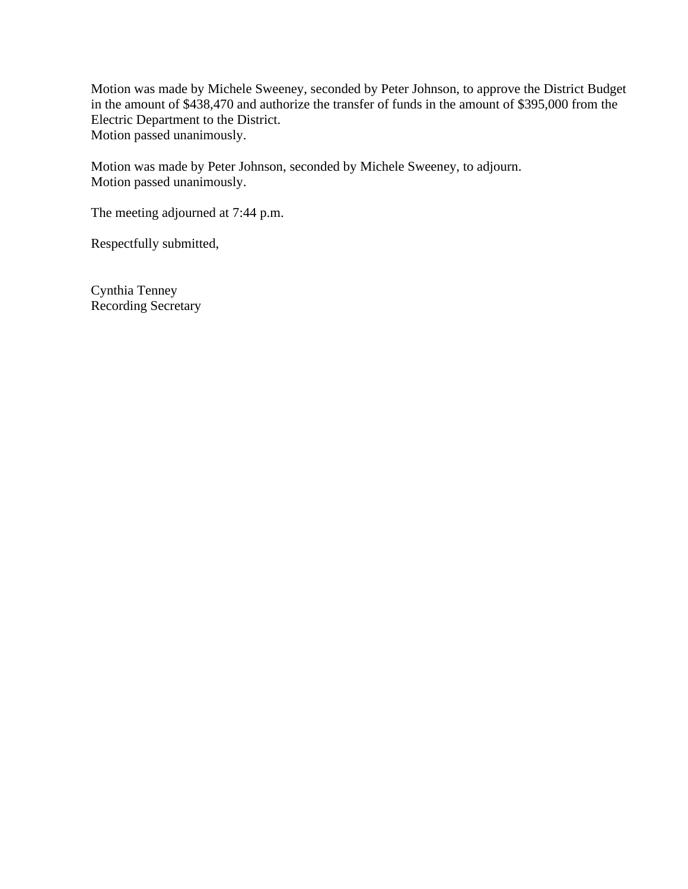Motion was made by Michele Sweeney, seconded by Peter Johnson, to approve the District Budget in the amount of \$438,470 and authorize the transfer of funds in the amount of \$395,000 from the Electric Department to the District. Motion passed unanimously.

Motion was made by Peter Johnson, seconded by Michele Sweeney, to adjourn. Motion passed unanimously.

The meeting adjourned at 7:44 p.m.

Respectfully submitted,

Cynthia Tenney Recording Secretary